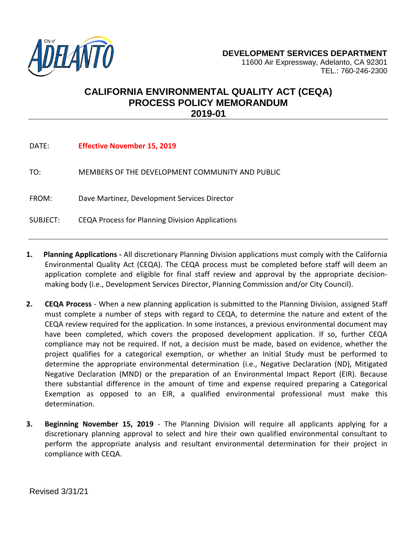

## **CALIFORNIA ENVIRONMENTAL QUALITY ACT (CEQA) PROCESS POLICY MEMORANDUM 2019-01**

| DATE:    | <b>Effective November 15, 2019</b>              |
|----------|-------------------------------------------------|
| TO:      | MEMBERS OF THE DEVELOPMENT COMMUNITY AND PUBLIC |
| FROM:    | Dave Martinez, Development Services Director    |
| SUBJECT: | CEQA Process for Planning Division Applications |

- **1. Planning Applications -** All discretionary Planning Division applications must comply with the California Environmental Quality Act (CEQA). The CEQA process must be completed before staff will deem an application complete and eligible for final staff review and approval by the appropriate decisionmaking body (i.e., Development Services Director, Planning Commission and/or City Council).
- **2. CEQA Process** When a new planning application is submitted to the Planning Division, assigned Staff must complete a number of steps with regard to CEQA, to determine the nature and extent of the CEQA review required for the application. In some instances, a previous environmental document may have been completed, which covers the proposed development application. If so, further CEQA compliance may not be required. If not, a decision must be made, based on evidence, whether the project qualifies for a categorical exemption, or whether an Initial Study must be performed to determine the appropriate environmental determination (i.e., Negative Declaration (ND), Mitigated Negative Declaration (MND) or the preparation of an Environmental Impact Report (EIR). Because there substantial difference in the amount of time and expense required preparing a Categorical Exemption as opposed to an EIR, a qualified environmental professional must make this determination.
- **3. Beginning November 15, 2019** The Planning Division will require all applicants applying for a discretionary planning approval to select and hire their own qualified environmental consultant to perform the appropriate analysis and resultant environmental determination for their project in compliance with CEQA.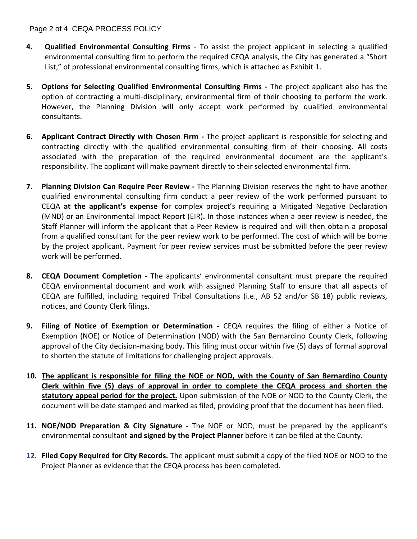## Page 2 of 4 CEQA PROCESS POLICY

- **4. Qualified Environmental Consulting Firms** To assist the project applicant in selecting a qualified environmental consulting firm to perform the required CEQA analysis, the City has generated a "Short List," of professional environmental consulting firms, which is attached as Exhibit 1.
- **5. Options for Selecting Qualified Environmental Consulting Firms -** The project applicant also has the option of contracting a multi-disciplinary, environmental firm of their choosing to perform the work. However, the Planning Division will only accept work performed by qualified environmental consultants.
- **6. Applicant Contract Directly with Chosen Firm -** The project applicant is responsible for selecting and contracting directly with the qualified environmental consulting firm of their choosing. All costs associated with the preparation of the required environmental document are the applicant's responsibility. The applicant will make payment directly to their selected environmental firm.
- **7. Planning Division Can Require Peer Review -** The Planning Division reserves the right to have another qualified environmental consulting firm conduct a peer review of the work performed pursuant to CEQA **at the applicant's expense** for complex project's requiring a Mitigated Negative Declaration (MND) or an Environmental Impact Report (EIR)**.** In those instances when a peer review is needed, the Staff Planner will inform the applicant that a Peer Review is required and will then obtain a proposal from a qualified consultant for the peer review work to be performed. The cost of which will be borne by the project applicant. Payment for peer review services must be submitted before the peer review work will be performed.
- **8. CEQA Document Completion -** The applicants' environmental consultant must prepare the required CEQA environmental document and work with assigned Planning Staff to ensure that all aspects of CEQA are fulfilled, including required Tribal Consultations (i.e., AB 52 and/or SB 18) public reviews, notices, and County Clerk filings.
- **9. Filing of Notice of Exemption or Determination -** CEQA requires the filing of either a Notice of Exemption (NOE) or Notice of Determination (NOD) with the San Bernardino County Clerk, following approval of the City decision-making body. This filing must occur within five (5) days of formal approval to shorten the statute of limitations for challenging project approvals.
- **10. The applicant is responsible for filing the NOE or NOD, with the County of San Bernardino County Clerk within five (5) days of approval in order to complete the CEQA process and shorten the statutory appeal period for the project.** Upon submission of the NOE or NOD to the County Clerk, the document will be date stamped and marked as filed, providing proof that the document has been filed.
- **11. NOE/NOD Preparation & City Signature -** The NOE or NOD, must be prepared by the applicant's environmental consultant **and signed by the Project Planner** before it can be filed at the County.
- **12. Filed Copy Required for City Records.** The applicant must submit a copy of the filed NOE or NOD to the Project Planner as evidence that the CEQA process has been completed.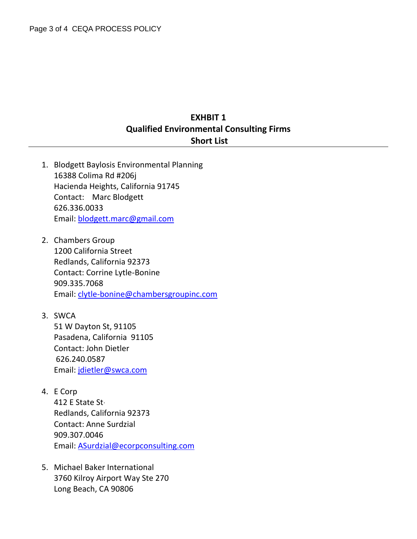## **EXHBIT 1 Qualified Environmental Consulting Firms Short List**

- 1. Blodgett Baylosis Environmental Planning 16388 Colima Rd #206j Hacienda Heights, California 91745 Contact: Marc Blodgett 626.336.0033 Email: [blodgett.marc@gmail.com](mailto:blodgett.marc@gmail.com)
- 2. Chambers Group 1200 California Street Redlands, California 92373 Contact: Corrine Lytle-Bonine 909.335.7068 Email: clytle-bonine@chambersgroupinc.com
- 3. SWCA [51 W Dayton St, 91105](https://www.bing.com/local?lid=YN873x4695971420776950828&id=YN873x4695971420776950828&q=Swca+Environmental+Consultants&name=Swca+Environmental+Consultants&cp=34.14396667480469%7e-118.15156555175781&ppois=34.14396667480469_-118.15156555175781_Swca+Environmental+Consultants) Pasadena, California 91105 Contact: John Dietler 626.240.0587 Email: jdietler@swca.com
- 4. E Corp

412 E State St, Redlands, California 92373 Contact: Anne Surdzial 909.307.0046 Email: ASurdzial@ecorpconsulting.com

5. Michael Baker International 3760 Kilroy Airport Way Ste 270 Long Beach, CA 90806